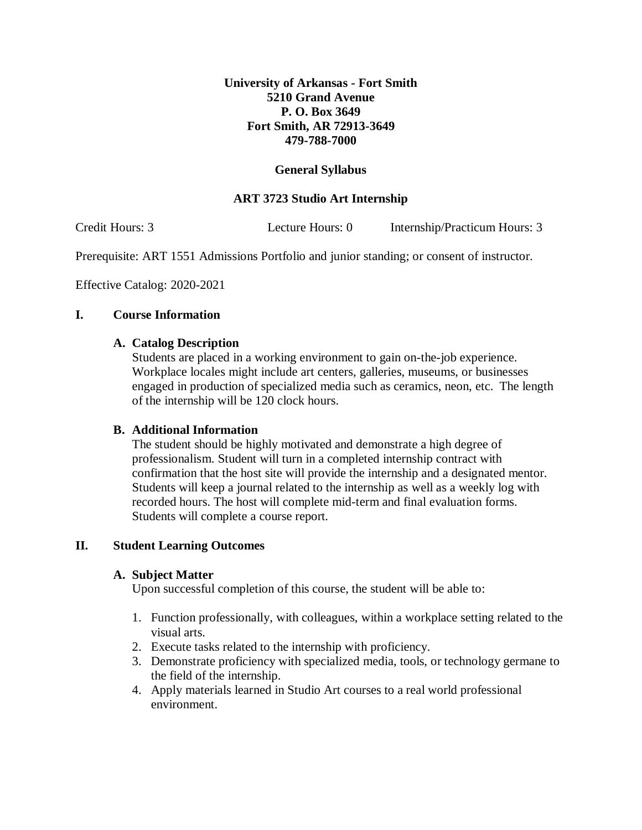# **University of Arkansas - Fort Smith 5210 Grand Avenue P. O. Box 3649 Fort Smith, AR 72913-3649 479-788-7000**

# **General Syllabus**

# **ART 3723 Studio Art Internship**

Credit Hours: 3 Lecture Hours: 0 Internship/Practicum Hours: 3

Prerequisite: ART 1551 Admissions Portfolio and junior standing; or consent of instructor.

Effective Catalog: 2020-2021

## **I. Course Information**

## **A. Catalog Description**

Students are placed in a working environment to gain on-the-job experience. Workplace locales might include art centers, galleries, museums, or businesses engaged in production of specialized media such as ceramics, neon, etc. The length of the internship will be 120 clock hours.

## **B. Additional Information**

The student should be highly motivated and demonstrate a high degree of professionalism. Student will turn in a completed internship contract with confirmation that the host site will provide the internship and a designated mentor. Students will keep a journal related to the internship as well as a weekly log with recorded hours. The host will complete mid-term and final evaluation forms. Students will complete a course report.

## **II. Student Learning Outcomes**

#### **A. Subject Matter**

Upon successful completion of this course, the student will be able to:

- 1. Function professionally, with colleagues, within a workplace setting related to the visual arts.
- 2. Execute tasks related to the internship with proficiency.
- 3. Demonstrate proficiency with specialized media, tools, or technology germane to the field of the internship.
- 4. Apply materials learned in Studio Art courses to a real world professional environment.